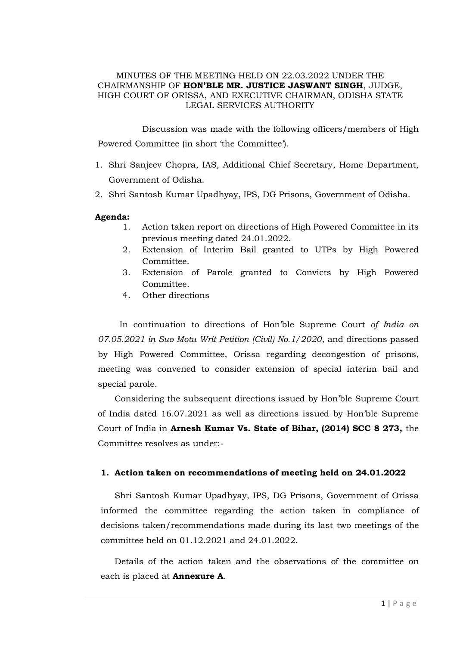### MINUTES OF THE MEETING HELD ON 22.03.2022 UNDER THE CHAIRMANSHIP OF **HON'BLE MR. JUSTICE JASWANT SINGH**, JUDGE, HIGH COURT OF ORISSA, AND EXECUTIVE CHAIRMAN, ODISHA STATE LEGAL SERVICES AUTHORITY

Discussion was made with the following officers/members of High Powered Committee (in short 'the Committee').

- 1. Shri Sanjeev Chopra, IAS, Additional Chief Secretary, Home Department, Government of Odisha.
- 2. Shri Santosh Kumar Upadhyay, IPS, DG Prisons, Government of Odisha.

### **Agenda:**

- 1. Action taken report on directions of High Powered Committee in its previous meeting dated 24.01.2022.
- 2. Extension of Interim Bail granted to UTPs by High Powered Committee.
- 3. Extension of Parole granted to Convicts by High Powered Committee*.*
- 4. Other directions

In continuation to directions of Hon'ble Supreme Court *of India on 07.05.2021 in Suo Motu Writ Petition (Civil) No.1/2020*, and directions passed by High Powered Committee, Orissa regarding decongestion of prisons, meeting was convened to consider extension of special interim bail and special parole.

Considering the subsequent directions issued by Hon'ble Supreme Court of India dated 16.07.2021 as well as directions issued by Hon'ble Supreme Court of India in **Arnesh Kumar Vs. State of Bihar, (2014) SCC 8 273,** the Committee resolves as under:-

### **1. Action taken on recommendations of meeting held on 24.01.2022**

Shri Santosh Kumar Upadhyay, IPS, DG Prisons, Government of Orissa informed the committee regarding the action taken in compliance of decisions taken/recommendations made during its last two meetings of the committee held on 01.12.2021 and 24.01.2022.

Details of the action taken and the observations of the committee on each is placed at **Annexure A**.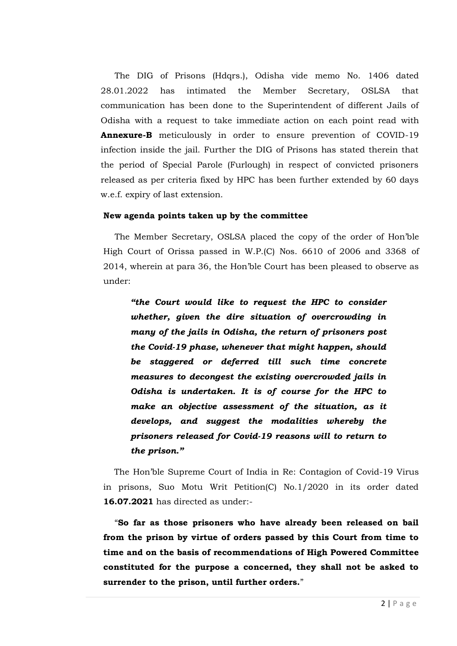The DIG of Prisons (Hdqrs.), Odisha vide memo No. 1406 dated 28.01.2022 has intimated the Member Secretary, OSLSA that communication has been done to the Superintendent of different Jails of Odisha with a request to take immediate action on each point read with **Annexure-B** meticulously in order to ensure prevention of COVID-19 infection inside the jail. Further the DIG of Prisons has stated therein that the period of Special Parole (Furlough) in respect of convicted prisoners released as per criteria fixed by HPC has been further extended by 60 days w.e.f. expiry of last extension.

### **New agenda points taken up by the committee**

The Member Secretary, OSLSA placed the copy of the order of Hon'ble High Court of Orissa passed in W.P.(C) Nos. 6610 of 2006 and 3368 of 2014, wherein at para 36, the Hon'ble Court has been pleased to observe as under:

*"the Court would like to request the HPC to consider whether, given the dire situation of overcrowding in many of the jails in Odisha, the return of prisoners post the Covid-19 phase, whenever that might happen, should be staggered or deferred till such time concrete measures to decongest the existing overcrowded jails in Odisha is undertaken. It is of course for the HPC to make an objective assessment of the situation, as it develops, and suggest the modalities whereby the prisoners released for Covid-19 reasons will to return to the prison."*

The Hon'ble Supreme Court of India in Re: Contagion of Covid-19 Virus in prisons, Suo Motu Writ Petition(C) No.1/2020 in its order dated **16.07.2021** has directed as under:-

"**So far as those prisoners who have already been released on bail from the prison by virtue of orders passed by this Court from time to time and on the basis of recommendations of High Powered Committee constituted for the purpose a concerned, they shall not be asked to surrender to the prison, until further orders.**"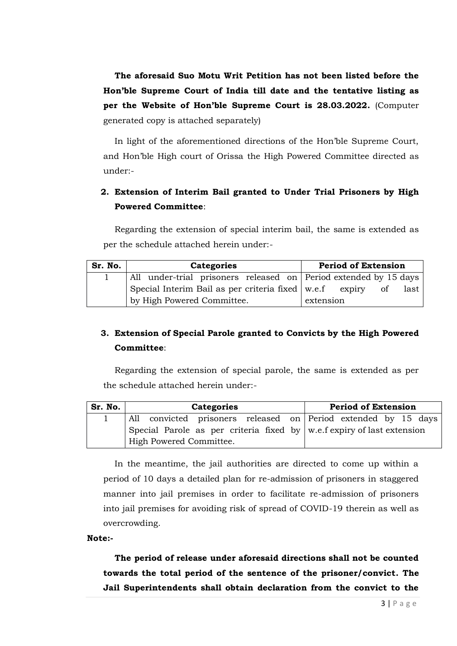**The aforesaid Suo Motu Writ Petition has not been listed before the Hon'ble Supreme Court of India till date and the tentative listing as per the Website of Hon'ble Supreme Court is 28.03.2022.** (Computer generated copy is attached separately)

In light of the aforementioned directions of the Hon'ble Supreme Court, and Hon'ble High court of Orissa the High Powered Committee directed as under:-

# **2. Extension of Interim Bail granted to Under Trial Prisoners by High Powered Committee**:

Regarding the extension of special interim bail, the same is extended as per the schedule attached herein under:-

| Sr. No. | <b>Categories</b>                                                | <b>Period of Extension</b> |
|---------|------------------------------------------------------------------|----------------------------|
|         | All under-trial prisoners released on Period extended by 15 days |                            |
|         | Special Interim Bail as per criteria fixed $\vert$ w.e.f expiry  | last<br>0t                 |
|         | by High Powered Committee.                                       | extension                  |

# **3. Extension of Special Parole granted to Convicts by the High Powered Committee**:

Regarding the extension of special parole, the same is extended as per the schedule attached herein under:-

| Sr. No. | <b>Categories</b>                                                                  | <b>Period of Extension</b> |
|---------|------------------------------------------------------------------------------------|----------------------------|
|         | All convicted prisoners released on Period extended by 15 days                     |                            |
|         | Special Parole as per criteria fixed by $\mathbf{w}$ .e.f expiry of last extension |                            |
|         | High Powered Committee.                                                            |                            |

In the meantime, the jail authorities are directed to come up within a period of 10 days a detailed plan for re-admission of prisoners in staggered manner into jail premises in order to facilitate re-admission of prisoners into jail premises for avoiding risk of spread of COVID-19 therein as well as overcrowding.

**Note:-**

**The period of release under aforesaid directions shall not be counted towards the total period of the sentence of the prisoner/convict. The Jail Superintendents shall obtain declaration from the convict to the**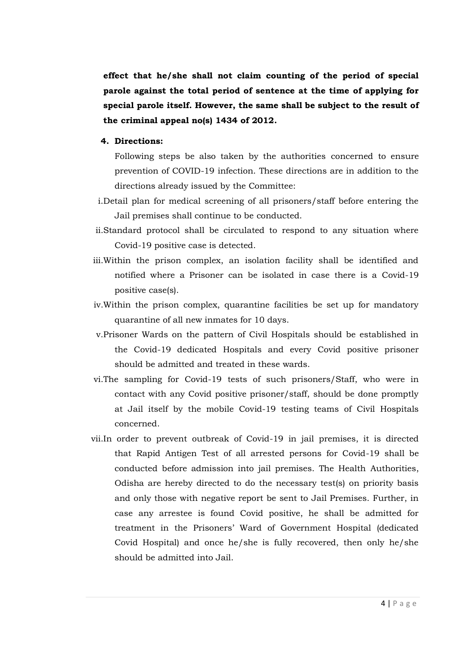**effect that he/she shall not claim counting of the period of special parole against the total period of sentence at the time of applying for special parole itself. However, the same shall be subject to the result of the criminal appeal no(s) 1434 of 2012.**

### **4. Directions:**

- Following steps be also taken by the authorities concerned to ensure prevention of COVID-19 infection. These directions are in addition to the directions already issued by the Committee:
- i.Detail plan for medical screening of all prisoners/staff before entering the Jail premises shall continue to be conducted.
- ii.Standard protocol shall be circulated to respond to any situation where Covid-19 positive case is detected.
- iii.Within the prison complex, an isolation facility shall be identified and notified where a Prisoner can be isolated in case there is a Covid-19 positive case(s).
- iv.Within the prison complex, quarantine facilities be set up for mandatory quarantine of all new inmates for 10 days.
- v.Prisoner Wards on the pattern of Civil Hospitals should be established in the Covid-19 dedicated Hospitals and every Covid positive prisoner should be admitted and treated in these wards.
- vi.The sampling for Covid-19 tests of such prisoners/Staff, who were in contact with any Covid positive prisoner/staff, should be done promptly at Jail itself by the mobile Covid-19 testing teams of Civil Hospitals concerned.
- vii.In order to prevent outbreak of Covid-19 in jail premises, it is directed that Rapid Antigen Test of all arrested persons for Covid-19 shall be conducted before admission into jail premises. The Health Authorities, Odisha are hereby directed to do the necessary test(s) on priority basis and only those with negative report be sent to Jail Premises. Further, in case any arrestee is found Covid positive, he shall be admitted for treatment in the Prisoners' Ward of Government Hospital (dedicated Covid Hospital) and once he/she is fully recovered, then only he/she should be admitted into Jail.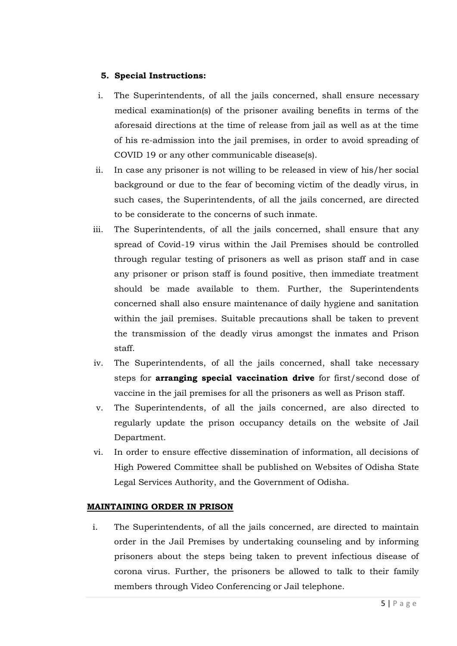# **5. Special Instructions:**

- i. The Superintendents, of all the jails concerned, shall ensure necessary medical examination(s) of the prisoner availing benefits in terms of the aforesaid directions at the time of release from jail as well as at the time of his re-admission into the jail premises, in order to avoid spreading of COVID 19 or any other communicable disease(s).
- ii. In case any prisoner is not willing to be released in view of his/her social background or due to the fear of becoming victim of the deadly virus, in such cases, the Superintendents, of all the jails concerned, are directed to be considerate to the concerns of such inmate.
- iii. The Superintendents, of all the jails concerned, shall ensure that any spread of Covid-19 virus within the Jail Premises should be controlled through regular testing of prisoners as well as prison staff and in case any prisoner or prison staff is found positive, then immediate treatment should be made available to them. Further, the Superintendents concerned shall also ensure maintenance of daily hygiene and sanitation within the jail premises. Suitable precautions shall be taken to prevent the transmission of the deadly virus amongst the inmates and Prison staff.
- iv. The Superintendents, of all the jails concerned, shall take necessary steps for **arranging special vaccination drive** for first/second dose of vaccine in the jail premises for all the prisoners as well as Prison staff.
- v. The Superintendents, of all the jails concerned, are also directed to regularly update the prison occupancy details on the website of Jail Department.
- vi. In order to ensure effective dissemination of information, all decisions of High Powered Committee shall be published on Websites of Odisha State Legal Services Authority, and the Government of Odisha.

## **MAINTAINING ORDER IN PRISON**

i. The Superintendents, of all the jails concerned, are directed to maintain order in the Jail Premises by undertaking counseling and by informing prisoners about the steps being taken to prevent infectious disease of corona virus. Further, the prisoners be allowed to talk to their family members through Video Conferencing or Jail telephone.